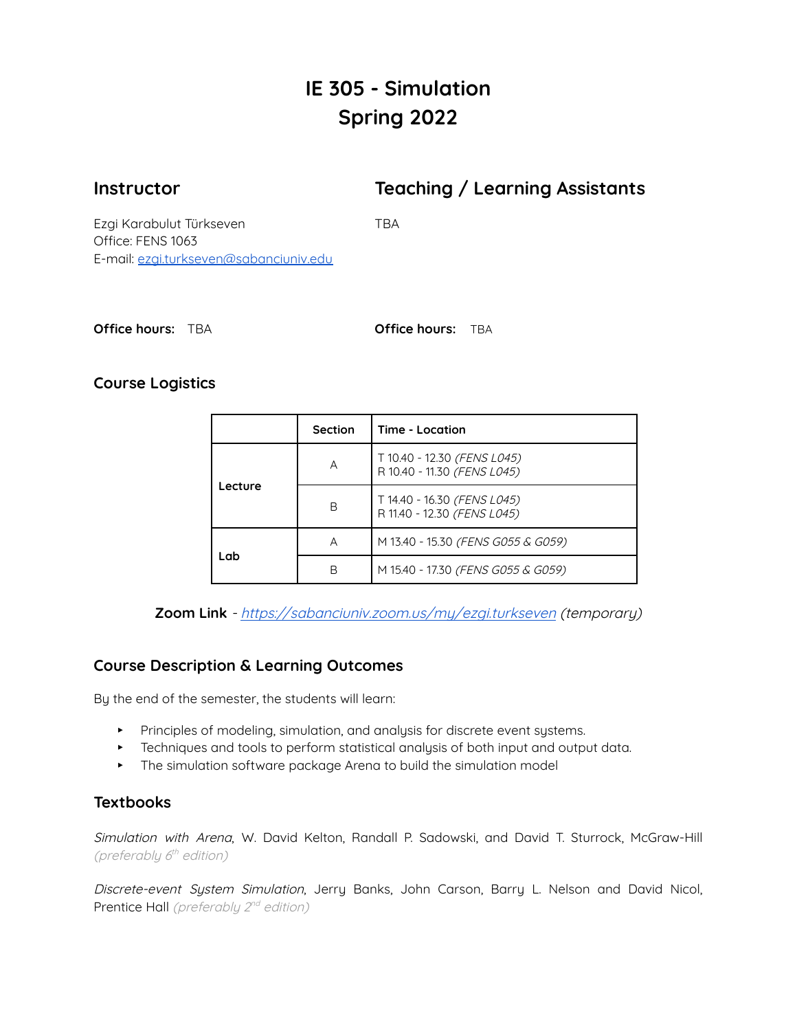# **IE 305 - Simulation Spring 2022**

**Instructor Teaching / Learning Assistants**

Ezgi Karabulut Türkseven TBA Office: FENS 1063 E-mail: [ezgi.turkseven@sabanciuniv.edu](mailto:ezgi.turkseven@sabanciuniv.edu)

| <b>Office hours: TBA</b> |  |  |
|--------------------------|--|--|
|--------------------------|--|--|

**Office hours:** TBA **Office hours:** TBA

# **Course Logistics**

|         | Section | Time - Location                                            |  |
|---------|---------|------------------------------------------------------------|--|
| Lecture | А       | T 10.40 - 12.30 (FENS L045)<br>R 10.40 - 11.30 (FENS L045) |  |
|         | B       | T 14.40 - 16.30 (FENS L045)<br>R 11.40 - 12.30 (FENS L045) |  |
| Lab     | А       | M 13.40 - 15.30 (FENS G055 & G059)                         |  |
|         | В       | M 15.40 - 17.30 (FENS G055 & G059)                         |  |

**Zoom Link** - <https://sabanciuniv.zoom.us/my/ezgi.turkseven> (temporary)

# **Course Description & Learning Outcomes**

By the end of the semester, the students will learn:

- ▸ Principles of modeling, simulation, and analysis for discrete event systems.
- ▸ Techniques and tools to perform statistical analysis of both input and output data.
- ▸ The simulation software package Arena to build the simulation model

# **Textbooks**

Simulation with Arena, W. David Kelton, Randall P. Sadowski, and David T. Sturrock, McGraw-Hill (preferably 6<sup>th</sup> edition)

Discrete-event System Simulation, Jerry Banks, John Carson, Barry L. Nelson and David Nicol, Prentice Hall (preferably 2<sup>nd</sup> edition)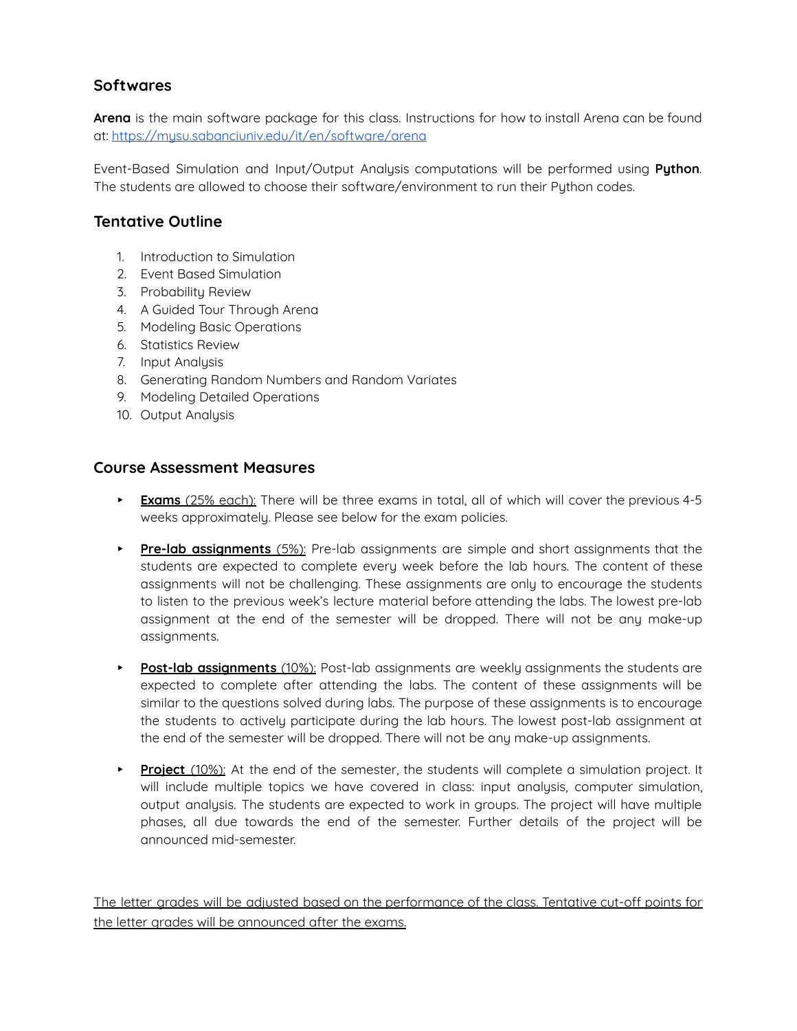# **Softwares**

**Arena** is the main software package for this class. Instructions for how to install Arena can be found at: <https://mysu.sabanciuniv.edu/it/en/software/arena>

Event-Based Simulation and Input/Output Analysis computations will be performed using **Python**. The students are allowed to choose their software/environment to run their Python codes.

#### **Tentative Outline**

- 1. Introduction to Simulation
- 2. Event Based Simulation
- 3. Probability Review
- 4. A Guided Tour Through Arena
- 5. Modeling Basic Operations
- 6. Statistics Review
- 7. Input Analysis
- 8. Generating Random Numbers and Random Variates
- 9. Modeling Detailed Operations
- 10. Output Analysis

#### **Course Assessment Measures**

- ▸ **Exams** (25% each): There will be three exams in total, all of which will cover the previous 4-5 weeks approximately. Please see below for the exam policies.
- ▸ **Pre-lab assignments** (5%): Pre-lab assignments are simple and short assignments that the students are expected to complete every week before the lab hours. The content of these assignments will not be challenging. These assignments are only to encourage the students to listen to the previous week's lecture material before attending the labs. The lowest pre-lab assignment at the end of the semester will be dropped. There will not be any make-up assignments.
- ▸ **Post-lab assignments** (10%): Post-lab assignments are weekly assignments the students are expected to complete after attending the labs. The content of these assignments will be similar to the questions solved during labs. The purpose of these assignments is to encourage the students to actively participate during the lab hours. The lowest post-lab assignment at the end of the semester will be dropped. There will not be any make-up assignments.
- ▸ **Project** (10%): At the end of the semester, the students will complete a simulation project. It will include multiple topics we have covered in class: input analysis, computer simulation, output analysis. The students are expected to work in groups. The project will have multiple phases, all due towards the end of the semester. Further details of the project will be announced mid-semester.

The letter grades will be adjusted based on the performance of the class. Tentative cut-off points for the letter grades will be announced after the exams.